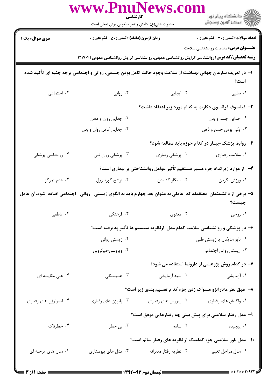| www.PnuNews.co<br>كارشناسي                                                                                                |                                                                                                           |                                                                            |                                                                            |  |  |  |
|---------------------------------------------------------------------------------------------------------------------------|-----------------------------------------------------------------------------------------------------------|----------------------------------------------------------------------------|----------------------------------------------------------------------------|--|--|--|
|                                                                                                                           | حضرت علی(ع): دانش راهبر نیکویی برای ایمان است                                                             |                                                                            | الا دانشڪاه پيام نور<br>الا مرڪز آزمون وسنڊش                               |  |  |  |
| <b>سری سوال :</b> یک ۱                                                                                                    | <b>زمان آزمون (دقیقه) : تستی : 50 ٪ تشریحی : 0</b>                                                        |                                                                            | <b>تعداد سوالات : تستی : 30 ٪ تشریحی : 0</b>                               |  |  |  |
|                                                                                                                           |                                                                                                           |                                                                            | <b>عنـــوان درس:</b> مقدمات روانشناسی سلامت                                |  |  |  |
| <b>رشته تحصیلی/کد درس: ر</b> وانشناسی گرایش روانشناسی عمومی، روانشناسی گرایش روانشناسی عمومی۱۲۱۷۰۴۴                       |                                                                                                           |                                                                            |                                                                            |  |  |  |
|                                                                                                                           | ا– در تعریف سازمان جهانی بهداشت از سلامت وجود حالت کامل بودن جسمی، روانی و اجتماعی برچه جنبه ای تأکید شده |                                                                            | است؟                                                                       |  |  |  |
| ۰۴ اجتماعی                                                                                                                | ۰۳ روانی                                                                                                  | ۲. ایجابی                                                                  | ٠١ سلبى                                                                    |  |  |  |
|                                                                                                                           |                                                                                                           |                                                                            | ۲– فیلسوف فرانسوی دکارت به کدام مورد زیر اعتقاد داشت؟                      |  |  |  |
|                                                                                                                           | ۰۲ جدایی روان و ذهن                                                                                       |                                                                            | ٠١. جدايي جسم و بدن                                                        |  |  |  |
|                                                                                                                           | ۰۴ جدایی کامل روان و بدن                                                                                  |                                                                            | ۰۳ يکي بودن جسم و ذهن                                                      |  |  |  |
|                                                                                                                           |                                                                                                           |                                                                            | ۳- روابط پزشک-بیمار در کدام حوزه باید مطالعه شود؟                          |  |  |  |
| ۰۴ روانشاسی پزشکی                                                                                                         | ۰۳ پزشکی روان تنی                                                                                         | ۰۲ پزشکی رفتاری                                                            | ۰۱ سلامت رفتاري                                                            |  |  |  |
|                                                                                                                           |                                                                                                           |                                                                            | ۴-۔ از موارد زیرکدام جزء مسیر مستقیم تأثیر عوامل روانشناختی بر بیماری است؟ |  |  |  |
| ۰۴ عدم تمرکز                                                                                                              | ۰۳ ترشح کورتیزول                                                                                          | ۰۲ سیگار کشیدن                                                             | ۰۱ ورزش نکردن                                                              |  |  |  |
| ۵– برخی از دانشمندان ًمعتقدند که عاملی به عنوان بعد چهارم باید به الگوی زیستی- روانی- اجتماعی اضافه ًشود،آن عامل<br>چیست؟ |                                                                                                           |                                                                            |                                                                            |  |  |  |
| ۰۴ عاطفي                                                                                                                  | ۰۳ فرهنگی                                                                                                 | ۰۲ معنوی                                                                   | ۰۱ روحی                                                                    |  |  |  |
|                                                                                                                           |                                                                                                           | ۶– در پزشکی و روانشناسی سلامت کدام مدل ازنظریه سیستم ها تأثیر پذیرفته است؟ |                                                                            |  |  |  |
|                                                                                                                           | ۰۲ زیستی روانی                                                                                            |                                                                            | ۰۱ بایو مدیکال یا زیستی طبی                                                |  |  |  |
|                                                                                                                           | ۰۴ ویروسی-میکروبی                                                                                         |                                                                            | ۰۳ زیستی روانی اجتماعی                                                     |  |  |  |
|                                                                                                                           |                                                                                                           |                                                                            | ۷- در کدام روش پژوهشی از دارونما استفاده می شود؟                           |  |  |  |
| ۰۴ علی مقایسه ای                                                                                                          | ۰۳ همبستگی                                                                                                | ۰۲ شبه آزمایشی                                                             | ۰۱ آزمایشی                                                                 |  |  |  |
|                                                                                                                           |                                                                                                           |                                                                            | ۸– طبق نظر ماتاراتزو مسواک زدن جزء کدام تقسیم بندی زیر است؟                |  |  |  |
| ۰۴ ایمونوژن های رفتاری                                                                                                    | ۰۳ پاتوژن های رفتاری                                                                                      | ۰۲ ویروس های رفتاری                                                        | ۰۱ واکنش های رفتاری                                                        |  |  |  |
|                                                                                                                           |                                                                                                           |                                                                            | ۹- مدل رفتار سلامتی برای پیش بینی چه رفتارهایی موفق است؟                   |  |  |  |
| ۰۴ خطرناک                                                                                                                 | ۰۳ بی خطر                                                                                                 | ۰۲ ساده                                                                    | ۰۱ پیچیده                                                                  |  |  |  |
|                                                                                                                           | ۱۰- مدل باور سلامتی جزء کدامیک از نظریه های رفتار سالم است؟                                               |                                                                            |                                                                            |  |  |  |
| ۰۴ مدل های مرحله ای                                                                                                       | ۰۳ مدل های پیوستاری                                                                                       | ۰۲ نظریه رفتار مدبرانه                                                     | ٠١ مدل مراحل تغيير                                                         |  |  |  |
|                                                                                                                           |                                                                                                           |                                                                            |                                                                            |  |  |  |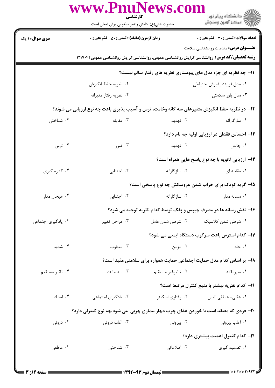| www.PnuNews.co<br>کارشناسی |                                                                                                    |                    |                                                                 |  |  |
|----------------------------|----------------------------------------------------------------------------------------------------|--------------------|-----------------------------------------------------------------|--|--|
|                            | حضرت علی(ع): دانش راهبر نیکویی برای ایمان است                                                      |                    | ڪ دانشڪاه پيا <sub>م</sub> نور<br>۾ مرڪز آزمون وسنجش            |  |  |
| <b>سری سوال : ۱ یک</b>     | زمان آزمون (دقیقه) : تستی : 50 ٪ تشریحی : 0                                                        |                    | تعداد سوالات : تستي : 30 ٪ تشريحي : 0                           |  |  |
|                            |                                                                                                    |                    | <b>عنـــوان درس:</b> مقدمات روانشناسی سلامت                     |  |  |
|                            | <b>رشته تحصیلی/کد درس:</b> روانشناسی گرایش روانشناسی عمومی، روانشناسی گرایش روانشناسی عمومی۱۲۱۷۰۴۴ |                    |                                                                 |  |  |
|                            |                                                                                                    |                    | 11- چه نظریه ای جزء مدل های پیوستاری نظریه های رفتار سالم نیست؟ |  |  |
|                            | ٠٢ نظريه حفظ انگيزش<br>۰۴ نظریه رفتار مدبرانه                                                      |                    | ٠١. مدل فرايند پذيرش احتياطي<br>۰۳ مدل باور سلامتی              |  |  |
|                            | ۱۲- در نظریه حفظ انگیزش متغیرهای سه گانه وخامت، ترس و آسیب پذیری باعث چه نوع ارزیابی می شوند؟      |                    |                                                                 |  |  |
| ۰۴ شناختی                  | ۰۳ مقابله                                                                                          | ۰۲ تهدید           | ۰۱ سازگارانه                                                    |  |  |
|                            |                                                                                                    |                    | 1۳- احساس فقدان در ارزیابی اولیه چه نام دارد؟                   |  |  |
| ۰۴ ترس                     | ۰۳ ضرر                                                                                             | ۰۲ تهدید           | ۰۱ چالش                                                         |  |  |
|                            |                                                                                                    |                    | <b>۱۴</b> - ارزیابی ثانویه با چه نوع پاسخ هایی همراه است؟       |  |  |
| ۰۴ کناره گیری              | ۰۳ اجتنابی                                                                                         | ۰۲ سازگارانه       | ۰۱ مقابله ای                                                    |  |  |
|                            |                                                                                                    |                    | ۱۵- گریه کودک برای خراب شدن عروسکش چه نوع پاسخی است؟            |  |  |
| ۰۴ هیجان مدار              | ۰۳ اجتنابی                                                                                         | ۰۲ سازگارانه       | ۰۱ مساله مدار                                                   |  |  |
|                            | ۱۶- نقش رسانه ها در مصرف چیپس و پفک توسط کدام نظریه توجیه می شود؟                                  |                    |                                                                 |  |  |
| ۰۴ یادگیری اجتماعی         | ۰۳ مراحل تغيير                                                                                     | ۰۲ شرطی شدن عامل   | ۰۱ شرطی شدن کلاسیک                                              |  |  |
|                            |                                                                                                    |                    | ۱۷– کدام استرس باعث سرکوب دستگاه ایمنی می شود؟                  |  |  |
| ۰۴ شدید                    | ۰۳ متناوب                                                                                          | ۰۲ مزمن            | ۰۱ حاد                                                          |  |  |
|                            | ۱۸− بر اساس کدام مدل حمایت اجتماعی حمایت همواره برای سلامتی مفید است؟                              |                    |                                                                 |  |  |
| ۰۴ تاثیر مستقیم            | سد مانند $\cdot$ ۳                                                                                 | ۰۲ تاثیرغیر مستقیم | ۰۱ سپرمانند                                                     |  |  |
|                            |                                                                                                    |                    | ۱۹- کدام نظریه بیشتر با منبع کنترل مرتبط است؟                   |  |  |
| ۰۴ اسناد                   | ۰۳ یادگیری اجتماعی                                                                                 | ۰۲ رفتاري اسكينر   | ٠١ عقلى- عاطفى اليس                                             |  |  |
|                            | ۲۰- فردی که معتقد است با خوردن غذای چرب دچار بیماری چربی ًمی شود،چه نوع کنترلی دارد؟               |                    |                                                                 |  |  |
| ۰۴ درونی                   | ۰۳ اغلب درونی                                                                                      | ۰۲ بیرونی          | ۰۱ اغلب بیرونی                                                  |  |  |
|                            |                                                                                                    |                    | <b>۲۱</b> – کدام کنترل اهمیت بیشتری دارد؟                       |  |  |
| ۰۴ عاطفی                   | ۰۳ شناختی                                                                                          | ۰۲ اطلاعاتی        | ۰۱ تصمیم گیری                                                   |  |  |
|                            |                                                                                                    |                    |                                                                 |  |  |